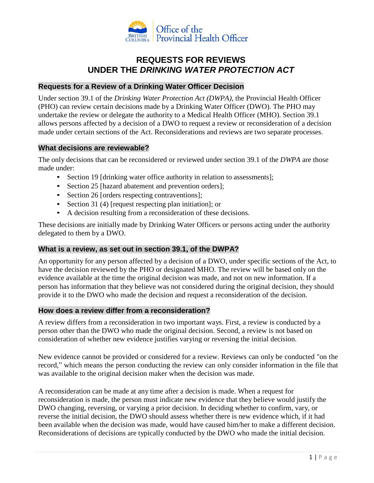

# **REQUESTS FOR REVIEWS UNDER THE** *DRINKING WATER PROTECTION ACT*

#### **Requests for a Review of a Drinking Water Officer Decision**

Under section 39.1 of the *Drinking Water Protection Act (DWPA),* the Provincial Health Officer (PHO) can review certain decisions made by a Drinking Water Officer (DWO). The PHO may undertake the review or delegate the authority to a Medical Health Officer (MHO). Section 39.1 allows persons affected by a decision of a DWO to request a review or reconsideration of a decision made under certain sections of the Act. Reconsiderations and reviews are two separate processes.

#### **What decisions are reviewable?**

The only decisions that can be reconsidered or reviewed under section 39.1 of the *DWPA* are those made under:

- Section 19 [drinking water office authority in relation to assessments];
- Section 25 [hazard abatement and prevention orders];
- Section 26 [orders respecting contraventions];
- Section 31 (4) [request respecting plan initiation]; or
- A decision resulting from a reconsideration of these decisions.

These decisions are initially made by Drinking Water Officers or persons acting under the authority delegated to them by a DWO.

# **What is a review, as set out in section 39.1, of the DWPA?**

An opportunity for any person affected by a decision of a DWO, under specific sections of the Act, to have the decision reviewed by the PHO or designated MHO. The review will be based only on the evidence available at the time the original decision was made, and not on new information. If a person has information that they believe was not considered during the original decision, they should provide it to the DWO who made the decision and request a reconsideration of the decision.

#### **How does a review differ from a reconsideration?**

A review differs from a reconsideration in two important ways. First, a review is conducted by a person other than the DWO who made the original decision. Second, a review is not based on consideration of whether new evidence justifies varying or reversing the initial decision.

New evidence cannot be provided or considered for a review. Reviews can only be conducted "on the record," which means the person conducting the review can only consider information in the file that was available to the original decision maker when the decision was made.

A reconsideration can be made at any time after a decision is made. When a request for reconsideration is made, the person must indicate new evidence that they believe would justify the DWO changing, reversing, or varying a prior decision. In deciding whether to confirm, vary, or reverse the initial decision, the DWO should assess whether there is new evidence which, if it had been available when the decision was made, would have caused him/her to make a different decision. Reconsiderations of decisions are typically conducted by the DWO who made the initial decision.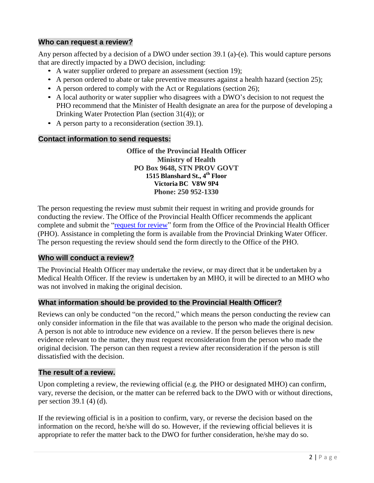# **Who can request a review?**

Any person affected by a decision of a DWO under section 39.1 (a)-(e). This would capture persons that are directly impacted by a DWO decision, including:

- A water supplier ordered to prepare an assessment (section 19);
- A person ordered to abate or take preventive measures against a health hazard (section 25);
- A person ordered to comply with the Act or Regulations (section 26);
- A local authority or water supplier who disagrees with a DWO's decision to not request the PHO recommend that the Minister of Health designate an area for the purpose of developing a Drinking Water Protection Plan (section 31(4)); or
- A person party to a reconsideration (section 39.1).

# **Contact information to send requests:**

**Office of the Provincial Health Officer Ministry of Health PO Box 9648, STN PROV GOVT 1515 Blanshard St., 4 th Floor Victoria BC V8W 9P4 Phone: 250 952-1330**

The person requesting the review must submit their request in writing and provide grounds for conducting the review. The Office of the Provincial Health Officer recommends the applicant complete and submit the ["request for](http://www2.gov.bc.ca/assets/download/B3D1569F58494A4D812971023A49EBDB) review" form from the Office of the Provincial Health Officer (PHO). Assistance in completing the form is available from the Provincial Drinking Water Officer. The person requesting the review should send the form directly to the Office of the PHO.

# **Who will conduct a review?**

The Provincial Health Officer may undertake the review, or may direct that it be undertaken by a Medical Health Officer. If the review is undertaken by an MHO, it will be directed to an MHO who was not involved in making the original decision.

# **What information should be provided to the Provincial Health Officer?**

Reviews can only be conducted "on the record," which means the person conducting the review can only consider information in the file that was available to the person who made the original decision. A person is not able to introduce new evidence on a review. If the person believes there is new evidence relevant to the matter, they must request reconsideration from the person who made the original decision. The person can then request a review after reconsideration if the person is still dissatisfied with the decision.

# **The result of a review.**

Upon completing a review, the reviewing official (e.g. the PHO or designated MHO) can confirm, vary, reverse the decision, or the matter can be referred back to the DWO with or without directions, per section 39.1 (4) (d).

If the reviewing official is in a position to confirm, vary, or reverse the decision based on the information on the record, he/she will do so. However, if the reviewing official believes it is appropriate to refer the matter back to the DWO for further consideration, he/she may do so.